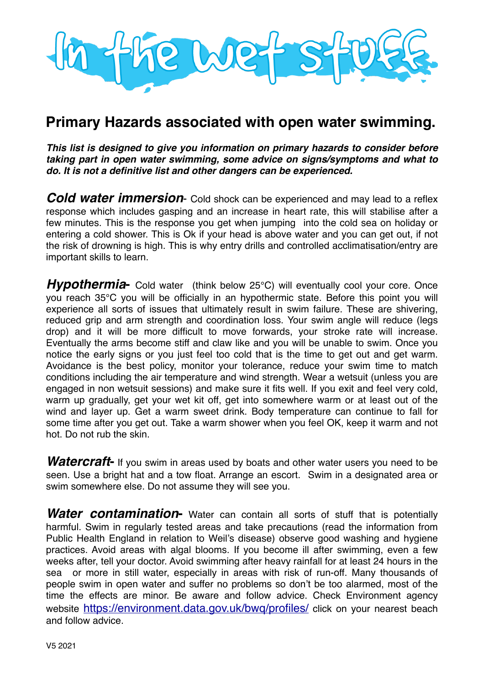

## **Primary Hazards associated with open water swimming.**

*This list is designed to give you information on primary hazards to consider before taking part in open water swimming, some advice on signs/symptoms and what to do. It is not a definitive list and other dangers can be experienced.*

*Cold water immersion*- Cold shock can be experienced and may lead to a reflex response which includes gasping and an increase in heart rate, this will stabilise after a few minutes. This is the response you get when jumping into the cold sea on holiday or entering a cold shower. This is Ok if your head is above water and you can get out, if not the risk of drowning is high. This is why entry drills and controlled acclimatisation/entry are important skills to learn.

**Hypothermia** Cold water (think below 25°C) will eventually cool your core. Once you reach 35℃ you will be officially in an hypothermic state. Before this point you will experience all sorts of issues that ultimately result in swim failure. These are shivering, reduced grip and arm strength and coordination loss. Your swim angle will reduce (legs drop) and it will be more difficult to move forwards, your stroke rate will increase. Eventually the arms become stiff and claw like and you will be unable to swim. Once you notice the early signs or you just feel too cold that is the time to get out and get warm. Avoidance is the best policy, monitor your tolerance, reduce your swim time to match conditions including the air temperature and wind strength. Wear a wetsuit (unless you are engaged in non wetsuit sessions) and make sure it fits well. If you exit and feel very cold, warm up gradually, get your wet kit off, get into somewhere warm or at least out of the wind and layer up. Get a warm sweet drink. Body temperature can continue to fall for some time after you get out. Take a warm shower when you feel OK, keep it warm and not hot. Do not rub the skin.

**Watercraft-** If you swim in areas used by boats and other water users you need to be seen. Use a bright hat and a tow float. Arrange an escort. Swim in a designated area or swim somewhere else. Do not assume they will see you.

*Water contamination***-** Water can contain all sorts of stuff that is potentially harmful. Swim in regularly tested areas and take precautions (read the information from Public Health England in relation to Weil's disease) observe good washing and hygiene practices. Avoid areas with algal blooms. If you become ill after swimming, even a few weeks after, tell your doctor. Avoid swimming after heavy rainfall for at least 24 hours in the sea or more in still water, especially in areas with risk of run-off. Many thousands of people swim in open water and suffer no problems so don't be too alarmed, most of the time the effects are minor. Be aware and follow advice. Check Environment agency website https://environment.data.gov.uk/bwg/profiles/ click on your nearest beach and follow advice.